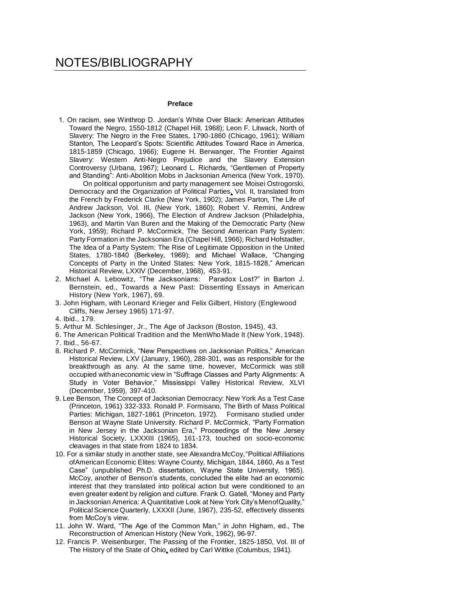# NOTES/BIBLIOGRAPHY

### **Preface**

1. On racism, see Winthrop D. Jordan's White Over Black: American Attitudes Toward the Negro, 1550-1812 (Chapel Hill, 1968); Leon F. Litwack, North of Slavery: The Negro in the Free States, 1790-1860 (Chicago, 1961); William Stanton, The Leopard's Spots: Scientific Attitudes Toward Race in America, 1815-1859 (Chicago, 1966); Eugene H. Berwanger, The Frontier Against Slavery: Western Anti-Negro Prejudice and the Slavery Extension Controversy (Urbana, 1967); Leonard L. Richards, "Gentlemen of Property and Standing": Anti-Abolition Mobs in Jacksonian America (New York, 1970).

On political opportunism and party management see Moisei Ostrogorski, Democracy and the Organization of Political Parties, Vol. II, translated from the French by Frederick Clarke (New York, 1902); James Parton, The Life of Andrew Jackson, Vol. III, (New York, 1860); Robert V. Remini, Andrew Jackson (New York, 1966), The Election of Andrew Jackson (Philadelphia, 1963), and Martin Van Buren and the Making of the Democratic Party (New York, 1959); Richard P. McCormick, The Second American Party System: Party Formation in the Jacksonian Era (Chapel Hill, 1966); Richard Hofstadter, The Idea of a Party System: The Rise of Legitimate Opposition in the United States, 1780-1840 (Berkeley, 1969); and Michael Wallace, "Changing Concepts of Party in the United States: New York, 1815-1828," American Historical Review, LXXIV (December, 1968), 453-91.

- 2. Michael A. Lebowitz, "The Jacksonians: Paradox Lost?" in Barton J. Bernstein, ed., Towards a New Past: Dissenting Essays in American History (New York, 1967), 69.
- 3. John Higham, with Leonard Krieger and Felix Gilbert, History (Englewood Cliffs, New Jersey 1965) 171-97.
- 4. Ibid., 179.
- 5. Arthur M. Schlesinger, Jr., The Age of Jackson (Boston, 1945), 43.
- 6. The American Political Tradition and the MenWho Made It (New York, 1948). 7. Ibid., 56-67.
- 
- 8. Richard P. McCormick, "New Perspectives on Jacksonian Politics," American Historical Review, LXV (January, 1960), 288-301, was as responsible for the breakthrough as any. At the same time, however, McCormick was still occupied withaneconomic view in "Suffrage Classes and Party Alignments: A Study in Voter Behavior," Mississippi Valley Historical Review, XLVI (December, 1959), 397-410.
- 9. Lee Benson, The Concept of Jacksonian Democracy: New York As a Test Case (Princeton, 1961) 332-333. Ronald P. Formisano, The Birth of Mass Political Parties: Michigan, 1827-1861 (Princeton, 1972). Formisano studied under Benson at Wayne State University. Richard P. McCormick, "Party Formation in New Jersey in the Jacksonian Era," Proceedings of the New Jersey Historical Society, LXXXIII (1965), 161-173, touched on socio-economic cleavages in that state from 1824 to 1834.
- 10. For a similar study in another state, see Alexandra McCoy,"Political Affiliations ofAmerican Economic Elites: Wayne County, Michigan, 1844, 1860, As a Test Case" (unpublished Ph.D. dissertation, Wayne State University, 1965). McCoy, another of Benson's students, concluded the elite had an economic interest that they translated into political action but were conditioned to an even greater extent by religion and culture. Frank O. Gatell, "Money and Party in Jacksonian America: A Quantitative Look at New York City's MenofQuality," Political Science Quarterly, LXXXII (June, 1967), 235-52, effectively dissents from McCoy's view.
- 11. John W. Ward, "The Age of the Common Man," in John Higham, ed., The Reconstruction of American History (New York, 1962), 96-97.
- 12. Francis P. Weisenburger, The Passing of the Frontier, 1825-1850, Vol. III of The History of the State of Ohio, edited by Carl Wittke (Columbus, 1941).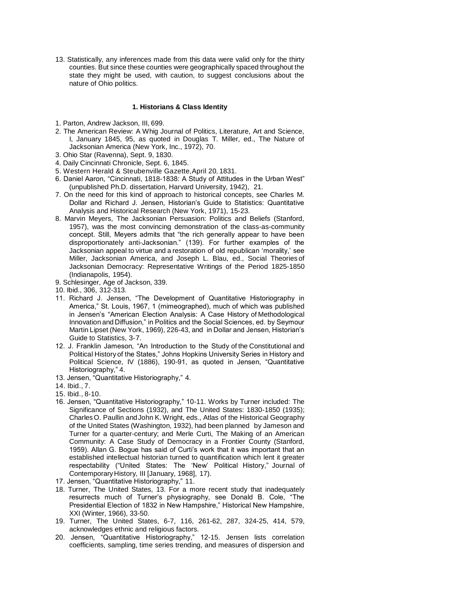13. Statistically, any inferences made from this data were valid only for the thirty counties. But since these counties were geographically spaced throughout the state they might be used, with caution, to suggest conclusions about the nature of Ohio politics.

#### **1. Historians & Class Identity**

- 1. Parton, Andrew Jackson, III, 699.
- 2. The American Review: A Whig Journal of Politics, Literature, Art and Science, I, January 1845, 95, as quoted in Douglas T. Miller, ed., The Nature of Jacksonian America (New York, Inc., 1972), 70.
- 3. Ohio Star (Ravenna), Sept. 9, 1830.
- 4. Daily Cincinnati Chronicle, Sept. 6, 1845.
- 5. Western Herald & Steubenville Gazette,April 20, 1831.
- 6. Daniel Aaron, "Cincinnati, 1818-1838: A Study of Attitudes in the Urban West" (unpublished Ph.D. dissertation, Harvard University, 1942), 21.
- 7. On the need for this kind of approach to historical concepts, see Charles M. Dollar and Richard J. Jensen, Historian's Guide to Statistics: Quantitative Analysis and Historical Research (New York, 1971), 15-23.
- 8. Marvin Meyers, The Jacksonian Persuasion: Politics and Beliefs (Stanford, 1957), was the most convincing demonstration of the class-as-community concept. Still, Meyers admits that "the rich generally appear to have been disproportionately anti-Jacksonian." (139). For further examples of the Jacksonian appeal to virtue and a restoration of old republican 'morality,' see Miller, Jacksonian America, and Joseph L. Blau, ed., Social Theories of Jacksonian Democracy: Representative Writings of the Period 1825-1850 (Indianapolis, 1954).
- 9. Schlesinger, Age of Jackson, 339.
- 10. Ibid., 306, 312-313.
- 11. Richard J. Jensen, "The Development of Quantitative Historiography in America," St. Louis, 1967, 1 (mimeographed), much of which was published in Jensen's "American Election Analysis: A Case History of Methodological Innovation and Diffusion," in Politics and the Social Sciences, ed. by Seymour Martin Lipset (New York, 1969), 226-43, and in Dollar and Jensen, Historian's Guide to Statistics, 3-7.
- 12. J. Franklin Jameson, "An Introduction to the Study of the Constitutional and Political History of the States," Johns Hopkins University Series in History and Political Science, IV (1886), 190-91, as quoted in Jensen, "Quantitative Historiography," 4.
- 13. Jensen, "Quantitative Historiography," 4.
- 14. Ibid., 7.
- 15. Ibid., 8-10.
- 16. Jensen, "Quantitative Historiography," 10-11. Works by Turner included: The Significance of Sections (1932), and The United States: 1830-1850 (1935); CharlesO. Paullin andJohn K. Wright, eds., Atlas of the Historical Geography of the United States (Washington, 1932), had been planned by Jameson and Turner for a quarter-century; and Merle Curti, The Making of an American Community: A Case Study of Democracy in a Frontier County (Stanford, 1959). Allan G. Bogue has said of Curti's work that it was important that an established intellectual historian turned to quantification which lent it greater respectability ("United States: The 'New' Political History," Journal of Contemporary History, III [January, 1968], 17).
- 17. Jensen, "Quantitative Historiography," 11.
- 18. Turner, The United States, 13. For a more recent study that inadequately resurrects much of Turner's physiography, see Donald B. Cole, "The Presidential Election of 1832 in New Hampshire," Historical New Hampshire, XXI (Winter, 1966), 33-50.
- 19. Turner, The United States, 6-7, 116, 261-62, 287, 324-25, 414, 579, acknowledges ethnic and religious factors.
- 20. Jensen, "Quantitative Historiography," 12-15. Jensen lists correlation coefficients, sampling, time series trending, and measures of dispersion and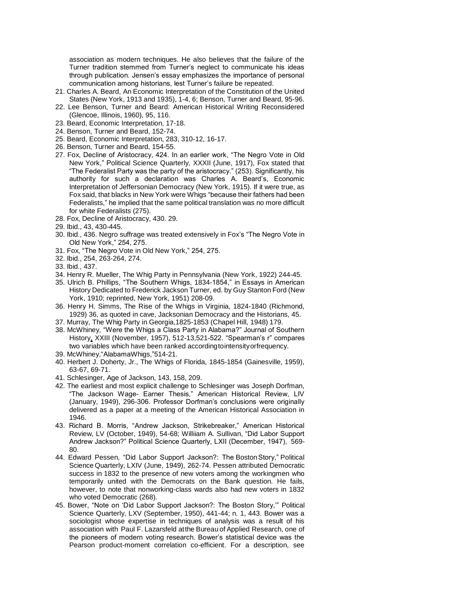association as modern techniques. He also believes that the failure of the Turner tradition stemmed from Turner's neglect to communicate his ideas through publication. Jensen's essay emphasizes the importance of personal communication among historians, lest Turner's failure be repeated.

- 21. Charles A. Beard, An Economic Interpretation of the Constitution of the United States (New York, 1913 and 1935), 1-4, 6; Benson, Turner and Beard, 95-96.
- 22. Lee Benson, Turner and Beard: American Historical Writing Reconsidered (Glencoe, Illinois, 1960), 95, 116.
- 23. Beard, Economic Interpretation, 17-18.
- 24. Benson, Turner and Beard, 152-74.
- 25. Beard, Economic Interpretation, 283, 310-12, 16-17.
- 26. Benson, Turner and Beard, 154-55.
- 27. Fox, Decline of Aristocracy, 424. In an earlier work, "The Negro Vote in Old New York," Political Science Quarterly, XXXII (June, 1917), Fox stated that "The Federalist Party was the party of the aristocracy." (253). Significantly, his authority for such a declaration was Charles A. Beard's, Economic Interpretation of Jeffersonian Democracy (New York, 1915). If it were true, as Fox said, that blacks in New York were Whigs "because their fathers had been Federalists," he implied that the same political translation was no more difficult for white Federalists (275).
- 28. Fox, Decline of Aristocracy, 430. 29.
- 29. Ibid., 43, 430-445.
- 30. Ibid., 436. Negro suffrage was treated extensively in Fox's "The Negro Vote in Old New York," 254, 275.
- 31. Fox, "The Negro Vote in Old New York," 254, 275.
- 32. Ibid., 254, 263-264, 274.
- 33. Ibid., 437.
- 34. Henry R. Mueller, The Whig Party in Pennsylvania (New York, 1922) 244-45.
- 35. Ulrich B. Phillips, "The Southern Whigs, 1834-1854," in Essays in American History Dedicated to Frederick Jackson Turner, ed. by Guy Stanton Ford (New York, 1910; reprinted, New York, 1951) 208-09.
- 36. Henry H. Simms, The Rise of the Whigs in Virginia, 1824-1840 (Richmond, 1929) 36, as quoted in cave, Jacksonian Democracy and the Historians, 45.
- 37. Murray, The Whig Party in Georgia,1825-1853 (Chapel Hill, 1948) 179.
- 38. McWhiney, "Were the Whigs a Class Party in Alabama?" Journal of Southern History, XXIII (November, 1957), 512-13,521-522. "Spearman's r" compares two variables which have been ranked accordingtointensityorfrequency.
- 39. McWhiney,"AlabamaWhigs,"514-21.
- 40. Herbert J. Doherty, Jr., The Whigs of Florida, 1845-1854 (Gainesville, 1959), 63-67, 69-71.
- 41. Schlesinger, Age of Jackson, 143, 158, 209.
- 42. The earliest and most explicit challenge to Schlesinger was Joseph Dorfman, "The Jackson Wage- Earner Thesis," American Historical Review, LIV (January, 1949), 296-306. Professor Dorfman's conclusions were originally delivered as a paper at a meeting of the American Historical Association in 1946.
- 43. Richard B. Morris, "Andrew Jackson, Strikebreaker," American Historical Review, LV (October, 1949), 54-68; Williiam A. Sullivan, "Did Labor Support Andrew Jackson?" Political Science Quarterly, LXII (December, 1947), 569- 80.
- 44. Edward Pessen, "Did Labor Support Jackson?: The BostonStory," Political Science Quarterly, LXIV (June, 1949), 262-74. Pessen attributed Democratic success in 1832 to the presence of new voters among the workingmen who temporarily united with the Democrats on the Bank question. He fails, however, to note that nonworking-class wards also had new voters in 1832 who voted Democratic (268).
- 45. Bower, "Note on 'Did Labor Support Jackson?: The Boston Story,'" Political Science Quarterly, LXV (September, 1950), 441-44; n. 1, 443. Bower was a sociologist whose expertise in techniques of analysis was a result of his association with Paul F. Lazarsfeld atthe Bureau of Applied Research, one of the pioneers of modern voting research. Bower's statistical device was the Pearson product-moment correlation co-efficient. For a description, see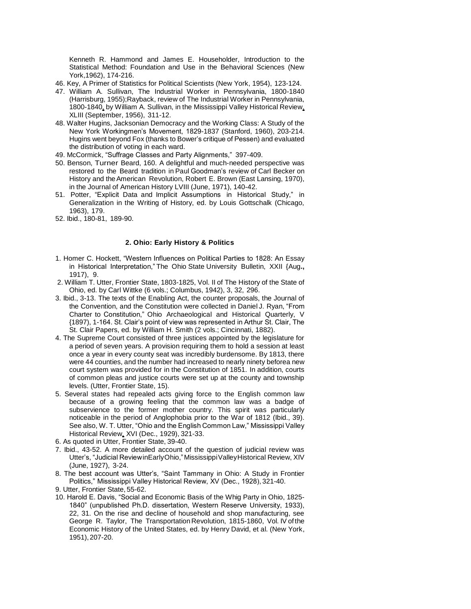Kenneth R. Hammond and James E. Householder, Introduction to the Statistical Method: Foundation and Use in the Behavioral Sciences (New York,1962), 174-216.

- 46. Key, A Primer of Statistics for Political Scientists (New York, 1954), 123-124.
- 47. William A. Sullivan, The Industrial Worker in Pennsylvania, 1800-1840 (Harrisburg, 1955);Rayback, review of The Industrial Worker in Pennsylvania, 1800-1840, by William A. Sullivan, in the Mississippi Valley Historical Review, XLIII (September, 1956), 311-12.
- 48. Walter Hugins, Jacksonian Democracy and the Working Class: A Study of the New York Workingmen's Movement, 1829-1837 (Stanford, 1960), 203-214. Hugins went beyond Fox (thanks to Bower's critique of Pessen) and evaluated the distribution of voting in each ward.
- 49. McCormick, "Suffrage Classes and Party Alignments," 397-409.
- 50. Benson, Turner Beard, 160. A delightful and much-needed perspective was restored to the Beard tradition in Paul Goodman's review of Carl Becker on History and theAmerican Revolution, Robert E. Brown (East Lansing, 1970), in the Journal of American History LVIII (June, 1971), 140-42.
- 51. Potter, "Explicit Data and Implicit Assumptions in Historical Study," in Generalization in the Writing of History, ed. by Louis Gottschalk (Chicago, 1963), 179.
- 52. Ibid., 180-81, 189-90.

## **2. Ohio: Early History & Politics**

- 1. Homer C. Hockett, "Western Influences on Political Parties to 1828: An Essay in Historical Interpretation," The Ohio State University Bulletin, XXII {Aug**.,**  1917), 9.
- 2. William T. Utter, Frontier State, 1803-1825, Vol. II of The History of the State of Ohio, ed. by Carl Wittke (6 vols.; Columbus, 1942), 3, 32, 296.
- 3. Ibid., 3-13. The texts of the Enabling Act, the counter proposals, the Journal of the Convention, and the Constitution were collected in Daniel J. Ryan, "From Charter to Constitution," Ohio Archaeological and Historical Quarterly, V {1897), 1-164. St. Clair's point of view was represented in Arthur St. Clair, The St. Clair Papers, ed. by William H. Smith (2 vols.; Cincinnati, 1882).
- 4. The Supreme Court consisted of three justices appointed by the legislature for a period of seven years. A provision requiring them to hold a session at least once a year in every county seat was incredibly burdensome. By 1813, there were 44 counties, and the number had increased to nearly ninety beforea new court system was provided for in the Constitution of 1851. In addition, courts of common pleas and justice courts were set up at the county and township levels. (Utter, Frontier State, 15).
- 5. Several states had repealed acts giving force to the English common law because of a growing feeling that the common law was a badge of subservience to the former mother country. This spirit was particularly noticeable in the period of Anglophobia prior to the War of 1812 (Ibid., 39). See also, W. T. Utter, "Ohio and the English Common Law," Mississippi Valley Historical Review, XVI (Dec., 1929), 321-33.
- 6. As quoted in Utter, Frontier State, 39-40.
- 7. Ibid., 43-52. A more detailed account of the question of judicial review was Utter's, "Judicial ReviewinEarlyOhio,"MississippiValleyHistorical Review, XIV (June, 1927), 3-24.
- 8. The best account was Utter's, "Saint Tammany in Ohio: A Study in Frontier Politics," Mississippi Valley Historical Review, XV (Dec., 1928), 321-40.
- 9. Utter, Frontier State, 55-62.
- 10. Harold E. Davis, "Social and Economic Basis of the Whig Party in Ohio, 1825- 1840" (unpublished Ph.D. dissertation, Western Reserve University, 1933), 22, 31. On the rise and decline of household and shop manufacturing, see George R. Taylor, The Transportation Revolution, 1815-1860, Vol. IV of the Economic History of the United States, ed. by Henry David, et al. (New York, 1951), 207-20.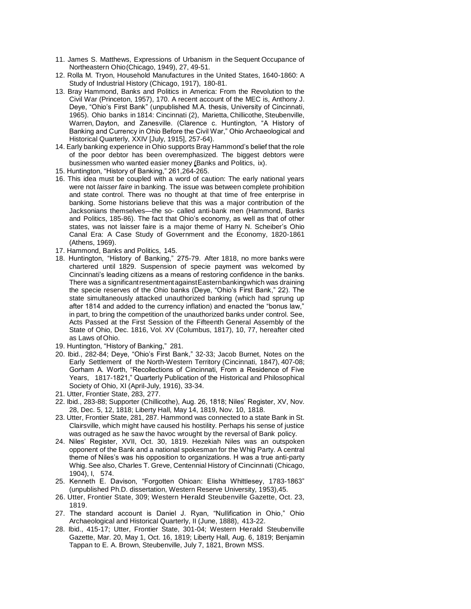- 11. James S. Matthews, Expressions of Urbanism in the Sequent Occupance of Northeastern Ohio(Chicago, 1949), 27, 49-51.
- 12. Rolla M. Tryon, Household Manufactures in the United States, 1640-1860: A Study of Industrial History (Chicago, 1917), 180-81.
- 13. Bray Hammond, Banks and Politics in America: From the Revolution to the Civil War (Princeton, 1957), 170. A recent account of the MEC is, Anthony J. Deye, "Ohio's First Bank" (unpublished M.A. thesis, University of Cincinnati, 1965). Ohio banks in 1814: Cincinnati (2), Marietta, Chillicothe, Steubenville, Warren, Dayton, and Zanesville. (Clarence c. Huntington, "A History of Banking and Currency in Ohio Before the Civil War," Ohio Archaeological and Historical Quarterly, XXIV [July, 1915], 257-64).
- 14. Early banking experience in Ohio supports Bray Hammond's belief that the role of the poor debtor has been overemphasized. The biggest debtors were businessmen who wanted easier money (Banks and Politics, ix).
- 15. Huntington, "History of Banking," 261,264-265.
- 16. This idea must be coupled with a word of caution: The early national years were not *laisser faire* in banking. The issue was between complete prohibition and state control. There was no thought at that time of free enterprise in banking. Some historians believe that this was a major contribution of the Jacksonians themselves—the so- called anti-bank men (Hammond, Banks and Politics, 185-86). The fact that Ohio's economy, as well as that of other states, was not laisser faire is a major theme of Harry N. Scheiber's Ohio Canal Era: A Case Study of Government and the Economy, 1820-1861 (Athens, 1969).
- 17. Hammond, Banks and Politics, 145.
- 18. Huntington, "History of Banking," 275-79. After 1818, no more banks were chartered until 1829. Suspension of specie payment was welcomed by Cincinnati's leading citizens as a means of restoring confidence in the banks. There was a significantresentmentagainstEasternbankingwhich was draining the specie reserves of the Ohio banks (Deye, "Ohio's First Bank," 22). The state simultaneously attacked unauthorized banking (which had sprung up after 1814 and added to the currency inflation) and enacted the "bonus law," in part, to bring the competition of the unauthorized banks under control. See, Acts Passed at the First Session of the Fifteenth General Assembly of the State of Ohio, Dec. 1816, Vol. XV (Columbus, 1817), 10, 77, hereafter cited as Laws ofOhio.
- 19. Huntington, "History of Banking," 281.
- 20. Ibid., 282-84; Deye, "Ohio's First Bank," 32-33; Jacob Burnet, Notes on the Early Settlement of the North-Western Territory (Cincinnati, 1847), 407-08; Gorham A. Worth, "Recollections of Cincinnati, From a Residence of Five Years, 1817-1821," Quarterly Publication of the Historical and Philosophical Society of Ohio, XI (April-July, 1916), 33-34.
- 21. Utter, Frontier State, 283, 277.
- 22. Ibid., 283-88; Supporter (Chillicothe), Aug. 26, 1818; Niles' Register, XV, Nov. 28, Dec. 5, 12, 1818; Liberty Hall, May 14, 1819, Nov. 10, 1818.
- 23. Utter, Frontier State, 281, 287. Hammond was connected to a state Bank in St. Clairsville, which might have caused his hostility. Perhaps his sense of justice was outraged as he saw the havoc wrought by the reversal of Bank policy.
- 24. Niles' Register, XVII, Oct. 30, 1819. Hezekiah Niles was an outspoken opponent of the Bank and a national spokesman for the Whig Party. A central theme of Niles's was his opposition to organizations. H was a true anti-party Whig. See also, Charles T. Greve, Centennial History of Cincinnati (Chicago, 1904), I, 574.
- 25. Kenneth E. Davison, "Forgotten Ohioan: Elisha Whittlesey, 1783-1863" (unpublished Ph.D. dissertation, Western Reserve University, 1953),45.
- 26. Utter, Frontier State, 309; Western Herald Steubenville Gazette, Oct. 23, 1819.
- 27. The standard account is Daniel J. Ryan, "Nullification in Ohio," Ohio Archaeological and Historical Quarterly, II (June, 1888), 413-22.
- 28. Ibid., 415-17; Utter, Frontier State, 301-04; Western Herald Steubenville Gazette, Mar. 20, May 1, Oct. 16, 1819; Liberty Hall, Aug. 6, 1819; Benjamin Tappan to E. A. Brown, Steubenville, July 7, 1821, Brown MSS.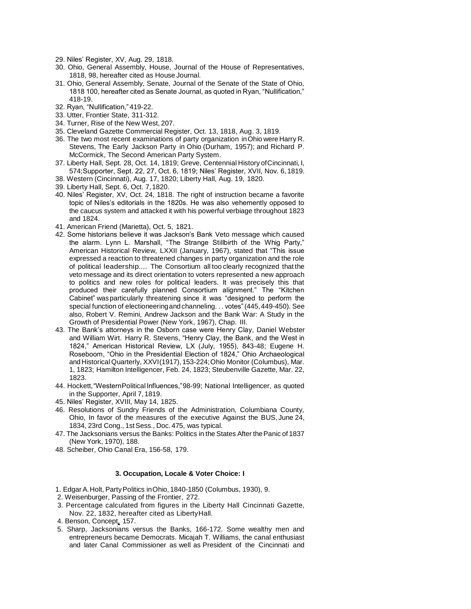- 29. Niles' Register, XV, Aug. 29, 1818.
- 30. Ohio, General Assembly, House, Journal of the House of Representatives, 1818, 98, hereafter cited as House Journal.
- 31. Ohio, General Assembly, Senate, Journal of the Senate of the State of Ohio, 1818 100, hereafter cited as Senate Journal, as quoted in Ryan, "Nullification," 418-19.
- 32. Ryan, "Nullification," 419-22.
- 33. Utter, Frontier State, 311-312.
- 34. Turner, Rise of the New West, 207.
- 35. Cleveland Gazette Commercial Register, Oct. 13, 1818, Aug. 3, 1819.
- 36. The two most recent examinations of party organization inOhio wereHarry R. Stevens, The Early Jackson Party in Ohio (Durham, 1957); and Richard P. McCormick, The Second American Party System.
- 37. Liberty Hall, Sept. 28, Oct. 14, 1819; Greve, Centennial History ofCincinnati, I, 574;Supporter, Sept. 22, 27, Oct. 6, 1819; Niles' Register, XVII, Nov. 6, 1819.
- 38. Western (Cincinnati), Aug. 17, 1820; Liberty Hall, Aug. 19, 1820.
- 39. Liberty Hall, Sept. 6, Oct. 7,1820.
- 40. Niles' Register, XV, Oct. 24, 1818. The right of instruction became a favorite topic of Niles's editorials in the 1820s. He was also vehemently opposed to the caucus system and attacked it with his powerful verbiage throughout 1823 and 1824.
- 41. American Friend (Marietta), Oct. 5, 1821.
- 42. Some historians believe it was Jackson's Bank Veto message which caused the alarm. Lynn L. Marshall, "The Strange Stillbirth of the Whig Party," American Historical Review, LXXII (January, 1967), stated that "This issue expressed a reaction to threatened changes in party organization and the role of political leadership.... The Consortium all too clearly recognized that the veto message and its direct orientation to voters represented a new approach to politics and new roles for political leaders. It was precisely this that produced their carefully planned Consortium alignment." The "Kitchen Cabinet" wasparticularly threatening since it was "designed to perform the special function of electioneeringand channeling. .. votes"(445,449-450). See also, Robert V. Remini, Andrew Jackson and the Bank War: A Study in the Growth of Presidential Power (New York, 1967), Chap. III.
- 43. The Bank's attorneys in the Osborn case were Henry Clay, Daniel Webster and William Wirt. Harry R. Stevens, "Henry Clay, the Bank, and the West in 1824," American Historical Review, LX (July, 1955), 843-48; Eugene H. Roseboom, "Ohio in the Presidential Election of 1824," Ohio Archaeological andHistorical Quarterly, XXVI(1917), 153-224;Ohio Monitor (Columbus), Mar. 1, 1823; Hamilton Intelligencer, Feb. 24, 1823; Steubenville Gazette, Mar. 22, 1823.
- 44. Hockett,"WesternPolitical Influences,"98-99; National Intelligencer, as quoted in the Supporter, April 7, 1819.
- 45. Niles' Register, XVIII, May 14, 1825.
- 46. Resolutions of Sundry Friends of the Administration, Columbiana County, Ohio, In favor of the measures of the executive Against the BUS, June 24, 1834, 23rd Cong., 1stSess., Doc. 475, was typical.
- 47. The Jacksonians versus the Banks: Politics in the States After thePanic of 1837 (New York, 1970), 188.
- 48. Scheiber, Ohio Canal Era, 156-58, 179.

## **3. Occupation, Locale & Voter Choice: I**

- 1. Edgar A.Holt, PartyPolitics inOhio, 1840-1850 (Columbus, 1930), 9.
- 2. Weisenburger, Passing of the Frontier, 272.
- 3. Percentage calculated from figures in the Liberty Hall Cincinnati Gazette, Nov. 22, 1832, hereafter cited as LibertyHall.
- 4. Benson, Concept, 157.
- 5. Sharp, Jacksonians versus the Banks, 166-172. Some wealthy men and entrepreneurs became Democrats. Micajah T. Williams, the canal enthusiast and later Canal Commissioner as well as President of the Cincinnati and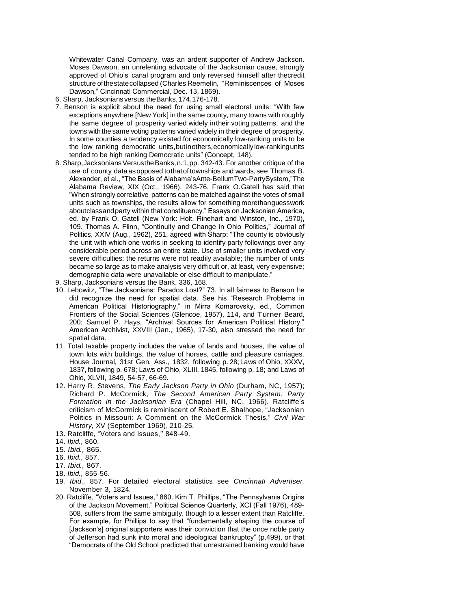Whitewater Canal Company, was an ardent supporter of Andrew Jackson. Moses Dawson, an unrelenting advocate of the Jacksonian cause, strongly approved of Ohio's canal program and only reversed himself after thecredit structure ofthestatecollapsed (Charles Reemelin, "Reminiscences of Moses Dawson," Cincinnati Commercial, Dec. 13, 1869).

- 6. Sharp, Jacksonians versus theBanks,174,176-178.
- 7. Benson is explicit about the need for using small electoral units: "With few exceptions anywhere [New York] in the same county, many towns with roughly the same degree of prosperity varied widely intheir voting patterns, and the towns with the same voting patterns varied widely in their degree of prosperity. In some counties a tendency existed for economically low-ranking units to be the low ranking democratic units,butinothers,economicallylow-rankingunits tended to be high ranking Democratic units" (Concept, 148).
- 8. Sharp, Jacksonians Versusthe Banks, n. 1, pp. 342-43. For another critique of the use of county data asopposed tothatoftownships and wards, see Thomas B. Alexander, et al., "The Basis of Alabama'sAnte-BellumTwo-PartySystem,"The Alabama Review, XIX (Oct., 1966), 243-76. Frank O.Gatell has said that "When strongly correlative patterns can be matched against the votes of small units such as townships, the results allow for something morethanguesswork aboutclassandparty within that constituency." Essays on Jacksonian America, ed. by Frank O. Gatell (New York: Holt, Rinehart and Winston, Inc., 1970), 109. Thomas A. Flinn, "Continuity and Change in Ohio Politics," Journal of Politics, XXIV (Aug., 1962), 251, agreed with Sharp: "The county is obviously the unit with which one works in seeking to identify party followings over any considerable period across an entire state. Use of smaller units involved very severe difficulties: the returns were not readily available; the number of units became so large as to make analysis very difficult or, at least, very expensive; demographic data were unavailable or else difficult to manipulate."
- 9. Sharp, Jacksonians versus the Bank, 336, 168.
- 10. Lebowitz, "The Jacksonians: Paradox Lost?" 73. In all fairness to Benson he did recognize the need for spatial data. See his "Research Problems in American Political Historiography," in Mirra Komarovsky, ed., Common Frontiers of the Social Sciences (Glencoe, 1957), 114, and Turner Beard, 200; Samuel P. Hays, "Archival Sources for American Political History," American Archivist, XXVIII (Jan., 1965), 17-30, also stressed the need for spatial data.
- 11. Total taxable property includes the value of lands and houses, the value of town lots with buildings, the value of horses, cattle and pleasure carriages. House Journal, 31st Gen. Ass., 1832, following p. 28;Laws of Ohio, XXXV, 1837, following p. 678; Laws of Ohio, XLIII, 1845, following p. 18; and Laws of Ohio, XLVII, 1849, 54-57, 66-69.
- 12. Harry R. Stevens, *The Early Jackson Party in Ohio* (Durham, NC, 1957); Richard P. McCormick, *The Second American Party System: Party Formation in the Jacksonian Era* (Chapel Hill, NC, 1966). Ratcliffe's criticism of McCormick is reminiscent of Robert E. Shalhope, "Jacksonian Politics in Missouri: A Comment on the McCormick Thesis," *Civil War History,* XV (September 1969), 210-25.
- 13. Ratcliffe, "Voters and Issues,'' 848-49.
- 14. *Ibid.,* 860.
- 15. *Ibid.,* 865.
- 16. *Ibid.,* 857.
- 17. *Ibid.,* 867.
- 18. *Ibid.,* 855-56.
- 19*. Ibid.,* 857. For detailed electoral statistics see *Cincinnati Advertiser,*  November 3, 1824.
- 20. Ratcliffe, "Voters and Issues," 860. Kim T. Phillips, "The Pennsylvania Origins of the Jackson Movement," Political Science Quarterly, XCI (Fall 1976), 489- 508, suffers from the same ambiguity, though to a lesser extent than Ratcliffe. For example, for Phillips to say that "fundamentally shaping the course of [Jackson's] original supporters was their conviction that the once noble party of Jefferson had sunk into moral and ideological bankruptcy" (p.499), or that "Democrats of the Old School predicted that unrestrained banking would have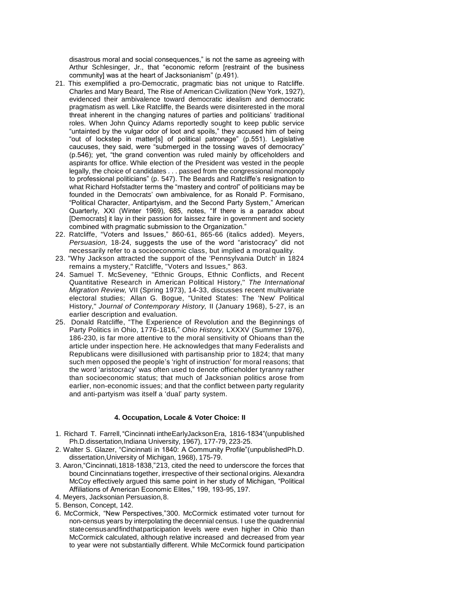disastrous moral and social consequences," is not the same as agreeing with Arthur Schlesinger, Jr., that "economic reform [restraint of the business community] was at the heart of Jacksonianism" (p.491).

- 21. This exemplified a pro-Democratic, pragmatic bias not unique to Ratcliffe. Charles and Mary Beard, The Rise of American Civilization (New York, 1927), evidenced their ambivalence toward democratic idealism and democratic pragmatism as well. Like Ratcliffe, the Beards were disinterested in the moral threat inherent in the changing natures of parties and politicians' traditional roles. When John Quincy Adams reportedly sought to keep public service "untainted by the vulgar odor of loot and spoils," they accused him of being "out of lockstep in matter[s] of political patronage" (p.551). Legislative caucuses, they said, were "submerged in the tossing waves of democracy" (p.546); yet, "the grand convention was ruled mainly by officeholders and aspirants for office. While election of the President was vested in the people legally, the choice of candidates . . . passed from the congressional monopoly to professional politicians" (p. 547). The Beards and Ratcliffe's resignation to what Richard Hofstadter terms the "mastery and control" of politicians may be founded in the Democrats' own ambivalence, for as Ronald P. Formisano, "Political Character, Antipartyism, and the Second Party System," American Quarterly, XXI (Winter 1969), 685, notes, "If there is a paradox about [Democrats] it lay in their passion for laissez faire in government and society combined with pragmatic submission to the Organization."
- 22. Ratcliffe, "Voters and Issues," 860-61, 865-66 (italics added). Meyers, *Persuasion,* 18-24, suggests the use of the word "aristocracy" did not necessarily refer to a socioeconomic class, but implied a moral quality.
- 23. "Why Jackson attracted the support of the 'Pennsylvania Dutch' in 1824 remains a mystery," Ratcliffe, "Voters and Issues," 863.
- 24. Samuel T. McSeveney, "Ethnic Groups, Ethnic Conflicts, and Recent Quantitative Research in American Political History,'' *The International Migration Review,* VII (Spring 1973), 14-33, discusses recent multivariate electoral studies; Allan G. Bogue, "United States: The 'New' Political History," *Journal of Contemporary History,* II (January 1968), 5-27, is an earlier description and evaluation.
- 25. Donald Ratcliffe, "The Experience of Revolution and the Beginnings of Party Politics in Ohio, 1776-1816," Ohio History, LXXXV (Summer 1976), 186-230, is far more attentive to the moral sensitivity of Ohioans than the article under inspection here. He acknowledges that many Federalists and Republicans were disillusioned with partisanship prior to 1824; that many such men opposed the people's 'right of instruction' for moral reasons; that the word 'aristocracy' was often used to denote officeholder tyranny rather than socioeconomic status; that much of Jacksonian politics arose from earlier, non-economic issues; and that the conflict between party regularity and anti-partyism was itself a 'dual' party system.

# **4. Occupation, Locale & Voter Choice: II**

- 1. Richard T. Farrell,"Cincinnati intheEarlyJacksonEra, 1816-1834"(unpublished Ph.D.dissertation, Indiana University, 1967), 177-79, 223-25.
- 2. Walter S. Glazer, "Cincinnati in 1840: A Community Profile"(unpublishedPh.D. dissertation,University of Michigan, 1968), 175-79.
- 3. Aaron,"Cincinnati,1818-1838,"213, cited the need to underscore the forces that bound Cincinnatians together, irrespective of their sectional origins. Alexandra McCoy effectively argued this same point in her study of Michigan, "Political Affiliations of American Economic Elites," 199, 193-95, 197.
- 4. Meyers, Jacksonian Persuasion,8.
- 5. Benson, Concept, 142.
- 6. McCormick, "New Perspectives,"300. McCormick estimated voter turnout for non-census years by interpolating the decennial census. I use the quadrennial statecensusandfindthatparticipation levels were even higher in Ohio than McCormick calculated, although relative increased and decreased from year to year were not substantially different. While McCormick found participation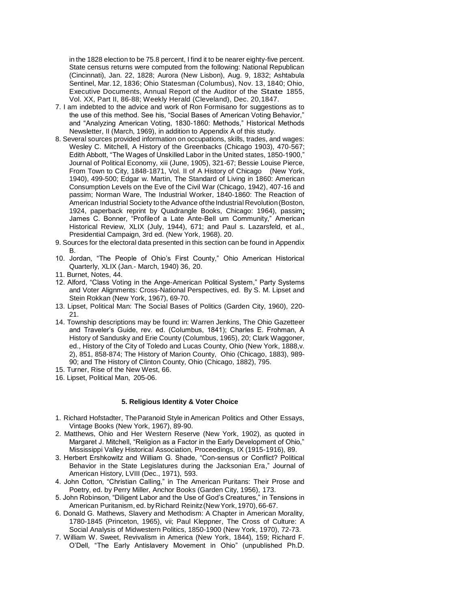in the 1828 election to be 75.8 percent, I find it to be nearer eighty-five percent. State census returns were computed from the following: National Republican (Cincinnati), Jan. 22, 1828; Aurora (New Lisbon), Aug. 9, 1832; Ashtabula Sentinel, Mar.12, 1836; Ohio Statesman (Columbus), Nov. 13, 1840; Ohio, Executive Documents, Annual Report of the Auditor of the State 1855, Vol. XX, Part II, 86-88; Weekly Herald (Cleveland), Dec. 20,1847.

- 7. I am indebted to the advice and work of Ron Formisano for suggestions as to the use of this method. See his, "Social Bases of American Voting Behavior," and "Analyzing American Voting, 1830-1860: Methods," Historical Methods Newsletter, II (March, 1969), in addition to Appendix A of this study.
- 8. Several sources provided information on occupations, skills, trades, and wages: Wesley C. Mitchell, A History of the Greenbacks (Chicago 1903), 470-567; Edith Abbott, "The Wages of Unskilled Labor in the United states, 1850-1900," Journal of Political Economy, xiii (June, 1905), 321-67; Bessie Louise Pierce, From Town to City, 1848-1871, Vol. II of A History of Chicago (New York, 1940), 499-500; Edgar w. Martin, The Standard of Living in 1860: American Consumption Levels on the Eve of the Civil War (Chicago, 1942), 407-16 and passim; Norman Ware, The Industrial Worker, 1840-1860: The Reaction of American Industrial Society tothe Advance ofthe Industrial Revolution(Boston, 1924, paperback reprint by Quadrangle Books, Chicago: 1964), passim; James C. Bonner, "Profileof a Late Ante-Bell um Community," American Historical Review, XLIX (July, 1944), 671; and Paul s. Lazarsfeld, et al., Presidential Campaign, 3rd ed. (New York, 1968). 20.
- 9. Sources for the electoral data presented in this section can be found in Appendix B.
- 10. Jordan, "The People of Ohio's First County," Ohio American Historical Quarterly, XLIX (Jan.- March, 1940) 36, 20.
- 11. Burnet, Notes, 44.
- 12. Alford, "Class Voting in the Ange-American Political System," Party Systems and Voter Alignments: Cross-National Perspectives, ed. By S. M. Lipset and Stein Rokkan (New York, 1967), 69-70.
- 13. Lipset, Political Man: The Social Bases of Politics (Garden City, 1960), 220- 21.
- 14. Township descriptions may be found in: Warren Jenkins, The Ohio Gazetteer and Traveler's Guide, rev. ed. (Columbus, 1841); Charles E. Frohman, A History of Sandusky and Erie County (Columbus, 1965), 20; Clark Waggoner, ed., History of the City of Toledo and Lucas County, Ohio (New York, 1888,v. 2), 851, 858-874; The History of Marion County, Ohio (Chicago, 1883), 989- 90; and The History of Clinton County, Ohio (Chicago, 1882), 795.
- 15. Turner, Rise of the New West, 66.
- 16. Lipset, Political Man, 205-06.

### **5. Religious Identity & Voter Choice**

- 1. Richard Hofstadter, TheParanoid Style inAmerican Politics and Other Essays, Vintage Books (New York, 1967), 89-90.
- 2. Matthews, Ohio and Her Western Reserve (New York, 1902), as quoted in Margaret J. Mitchell, "Religion as a Factor in the Early Development of Ohio," Mississippi Valley Historical Association, Proceedings, IX (1915-1916), 89.
- 3. Herbert Ershkowitz and William G. Shade, "Consensus or Conflict? Political Behavior in the State Legislatures during the Jacksonian Era," Journal of American History, LVIII (Dec., 1971), 593.
- 4. John Cotton, "Christian Calling," in The American Puritans: Their Prose and Poetry, ed. by Perry Miller, Anchor Books (Garden City, 1956), 173.
- 5. John Robinson, "Diligent Labor and the Use of God's Creatures," in Tensions in American Puritanism, ed. by Richard Reinitz (New York, 1970), 66-67.
- 6. Donald G. Mathews, Slavery and Methodism: A Chapter in American Morality, 1780-1845 (Princeton, 1965), vii; Paul Kleppner, The Cross of Culture: A Social Analysis of Midwestern Politics, 1850-1900 (New York, 1970), 72-73.
- 7. William W. Sweet, Revivalism in America (New York, 1844), 159; Richard F. O'Dell, "The Early Antislavery Movement in Ohio" (unpublished Ph.D.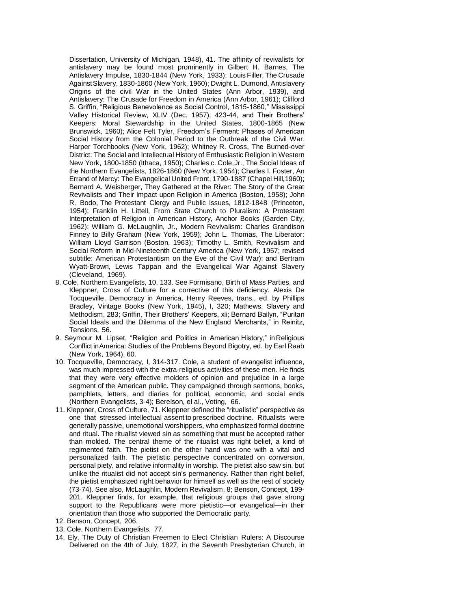Dissertation, University of Michigan, 1948), 41. The affinity of revivalists for antislavery may be found most prominently in Gilbert H. Barnes, The Antislavery Impulse, 1830-1844 (New York, 1933); Louis Filler, The Crusade AgainstSlavery, 1830-1860 (New York, 1960); Dwight L. Dumond, Antislavery Origins of the civil War in the United States (Ann Arbor, 1939), and Antislavery: The Crusade for Freedom in America (Ann Arbor, 1961); Clifford S. Griffin, "Religious Benevolence as Social Control, 1815-1860," Mississippi Valley Historical Review, XLIV (Dec. 1957), 423-44, and Their Brothers' Keepers: Moral Stewardship in the United States, 1800-1865 (New Brunswick, 1960); Alice Felt Tyler, Freedom's Ferment: Phases of American Social History from the Colonial Period to the Outbreak of the Civil War, Harper Torchbooks (New York, 1962); Whitney R. Cross, The Burned-over District: The Social and Intellectual History of Enthusiastic Religion in Western New York, 1800-1850 (Ithaca, 1950); Charles c. Cole,Jr., The Social Ideas of the Northern Evangelists, 1826-1860 (New York, 1954); Charles I. Foster, An Errand of Mercy: The Evangelical United Front, 1790-1887 (Chapel Hill,1960); Bernard A. Weisberger, They Gathered at the River: The Story of the Great Revivalists and Their Impact upon Religion in America (Boston, 1958); John R. Bodo, The Protestant Clergy and Public Issues, 1812-1848 (Princeton, 1954); Franklin H. Littell, From State Church to Pluralism: A Protestant Interpretation of Religion in American History, Anchor Books (Garden City, 1962); William G. McLaughlin, Jr., Modern Revivalism: Charles Grandison Finney to Billy Graham (New York, 1959); John L. Thomas, The Liberator: William Lloyd Garrison (Boston, 1963); Timothy L. Smith, Revivalism and Social Reform in Mid-Nineteenth Century America (New York, 1957; revised subtitle: American Protestantism on the Eve of the Civil War); and Bertram Wyatt-Brown, Lewis Tappan and the Evangelical War Against Slavery (Cleveland, 1969).

- 8. Cole, Northern Evangelists, 10, 133. See Formisano, Birth of Mass Parties, and Kleppner, Cross of Culture for a corrective of this deficiency. Alexis De Tocqueville, Democracy in America, Henry Reeves, trans., ed. by Phillips Bradley, Vintage Books (New York, 1945), I, 320; Mathews, Slavery and Methodism, 283; Griffin, Their Brothers' Keepers, xii; Bernard Bailyn, "Puritan Social Ideals and the Dilemma of the New England Merchants," in Reinitz, Tensions, 56.
- 9. Seymour M. Lipset, "Religion and Politics in American History," inReligious Conflict inAmerica: Studies of the Problems Beyond Bigotry, ed. by Earl Raab (New York, 1964), 60.
- 10. Tocqueville, Democracy, I, 314-317. Cole, a student of evangelist influence, was much impressed with the extra-religious activities of these men. He finds that they were very effective molders of opinion and prejudice in a large segment of the American public. They campaigned through sermons, books, pamphlets, letters, and diaries for political, economic, and social ends (Northern Evangelists, 3-4); Berelson, el al., Voting, 66.
- 11. Kleppner, Cross of Culture, 71. Kleppner defined the "ritualistic" perspective as one that stressed intellectual assent to prescribed doctrine. Ritualists were generally passive, unemotional worshippers, who emphasized formal doctrine and ritual. The ritualist viewed sin as something that must be accepted rather than molded. The central theme of the ritualist was right belief, a kind of regimented faith. The pietist on the other hand was one with a vital and personalized faith. The pietistic perspective concentrated on conversion, personal piety, and relative informality in worship. The pietist also saw sin, but unlike the ritualist did not accept sin's permanency. Rather than right belief, the pietist emphasized right behavior for himself as well as the rest of society (73-74). See also, McLaughlin, Modern Revivalism, 8; Benson, Concept, 199- 201. Kleppner finds, for example, that religious groups that gave strong support to the Republicans were more pietistic—or evangelical—in their orientation than those who supported the Democratic party.
- 12. Benson, Concept, 206.
- 13. Cole, Northern Evangelists, 77.
- 14. Ely, The Duty of Christian Freemen to Elect Christian Rulers: A Discourse Delivered on the 4th of July, 1827, in the Seventh Presbyterian Church, in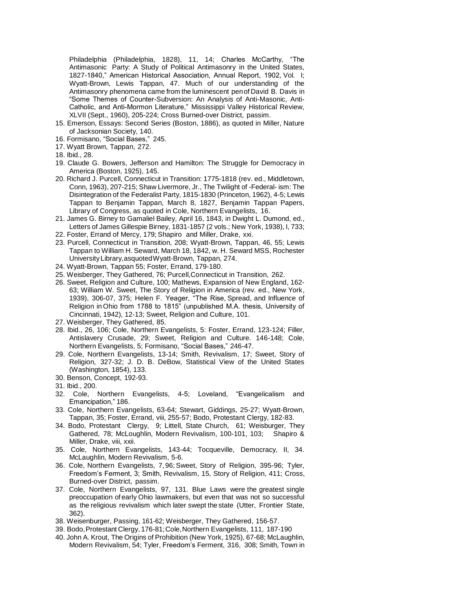Philadelphia (Philadelphia, 1828), 11, 14; Charles McCarthy, "The Antimasonic Party: A Study of Political Antimasonry in the United States, 1827-1840," American Historical Association, Annual Report, 1902, Vol. I; Wyatt-Brown, Lewis Tappan, 47. Much of our understanding of the Antimasonry phenomena came from the luminescent penof David B. Davis in "Some Themes of Counter-Subversion: An Analysis of Anti-Masonic, Anti-Catholic, and Anti-Mormon Literature," Mississippi Valley Historical Review, XLVII (Sept., 1960), 205-224; Cross Burned-over District, passim.

- 15. Emerson, Essays: Second Series (Boston, 1886), as quoted in Miller, Nature of Jacksonian Society, 140.
- 16. Formisano, "Social Bases," 245.
- 17. Wyatt Brown, Tappan, 272.
- 18. Ibid., 28.
- 19. Claude G. Bowers, Jefferson and Hamilton: The Struggle for Democracy in America (Boston, 1925), 145.
- 20. Richard J. Purcell, Connecticut in Transition: 1775-1818 (rev. ed., Middletown, Conn, 1963), 207-215; Shaw Livermore, Jr., The Twilight of -Federal- ism: The Disintegration of the Federalist Party, 1815-1830 (Princeton, 1962), 4-5; Lewis Tappan to Benjamin Tappan, March 8, 1827, Benjamin Tappan Papers, Library of Congress, as quoted in Cole, Northern Evangelists, 16.
- 21. James G. Birney to Gamaliel Bailey, April 16, 1843, in Dwight L. Dumond, ed., Letters of James Gillespie Birney, 1831-1857 (2 vols.; New York, 1938), I, 733;
- 22. Foster, Errand of Mercy, 179; Shapiro and Miller, Drake, xxi.
- 23. Purcell, Connecticut in Transition, 208; Wyatt-Brown, Tappan, 46, 55; Lewis Tappan to William H. Seward, March 18, 1842, w. H. Seward MSS, Rochester University Library,asquotedWyatt-Brown, Tappan, 274.
- 24. Wyatt-Brown, Tappan 55; Foster, Errand, 179-180.
- 25. Weisberger, They Gathered, 76; Purcell,Connecticut in Transition, 262.
- 26. Sweet, Religion and Culture, 100; Mathews, Expansion of New England, 162- 63; William W. Sweet, The Story of Religion in America (rev. ed., New York, 1939), 306-07, 375; Helen F. Yeager, "The Rise, Spread, and Influence of Religion in Ohio from 1788 to 1815" (unpublished M.A. thesis, University of Cincinnati, 1942), 12-13; Sweet, Religion and Culture, 101.
- 27. Weisberger, They Gathered, 85.
- 28. Ibid., 26, 106; Cole, Northern Evangelists, 5: Foster, Errand, 123-124; Filler, Antislavery Crusade, 29; Sweet, Religion and Culture. 146-148; Cole, Northern Evangelists, 5; Formisano, "Social Bases," 246-47.
- 29. Cole, Northern Evangelists, 13-14; Smith, Revivalism, 17; Sweet, Story of Religion, 327-32; J. D. B. DeBow, Statistical View of the United States (Washington, 1854), 133.
- 30. Benson, Concept, 192-93.
- 31. Ibid., 200.
- 32. Cole, Northern Evangelists, 4-5; Loveland, "Evangelicalism and Emancipation," 186.
- 33. Cole, Northern Evangelists, 63-64; Stewart, Giddings, 25-27; Wyatt-Brown, Tappan, 35; Foster, Errand, viii, 255-57; Bodo, Protestant Clergy, 182-83.
- 34. Bodo, Protestant Clergy, 9; Littell, State Church, 61; Weisburger, They Gathered, 78; McLoughlin, Modern Revivalism, 100-101, 103; Shapiro & Miller, Drake, viii, xxii.
- 35. Cole, Northern Evangelists, 143-44; Tocqueville, Democracy, II, 34. McLaughlin, Modern Revivalism, 5-6.
- 36. Cole, Northern Evangelists, 7,96; Sweet, Story of Religion, 395-96; Tyler, Freedom's Ferment, 3; Smith, Revivalism, 15, Story of Religion, 411; Cross, Burned-over District, passim.
- 37. Cole, Northern Evangelists, 97, 131. Blue Laws were the greatest single preoccupation of early Ohio lawmakers, but even that was not so successful as the religious revivalism which later swept the state (Utter, Frontier State, 362).
- 38. Weisenburger, Passing, 161-62; Weisberger, They Gathered, 156-57.
- 39. Bodo,Protestant Clergy, 176-81;Cole,Northern Evangelists, 111, 187-190
- 40. John A. Krout, The Origins of Prohibition (New York, 1925), 67-68; McLaughlin, Modern Revivalism, 54; Tyler, Freedom's Ferment, 316, 308; Smith, Town in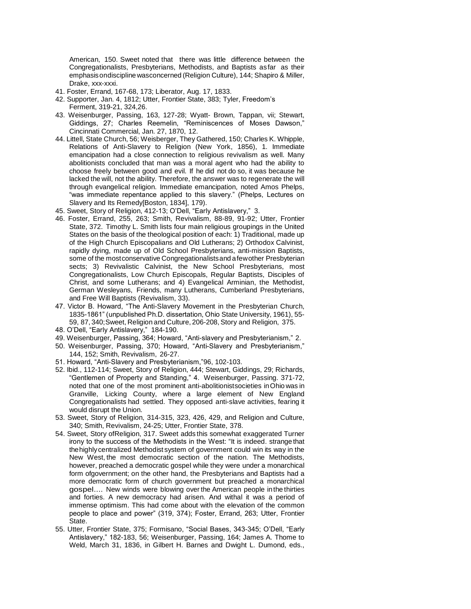American, 150. Sweet noted that there was little difference between the Congregationalists, Presbyterians, Methodists, and Baptists asfar as their emphasisondiscipline wasconcerned (Religion Culture), 144; Shapiro & Miller, Drake, xxx-xxxi.

- 41. Foster, Errand, 167-68, 173; Liberator, Aug. 17, 1833.
- 42. Supporter, Jan. 4, 1812; Utter, Frontier State, 383; Tyler, Freedom's Ferment, 319-21, 324,26.
- 43. Weisenburger, Passing, 163, 127-28; Wyatt- Brown, Tappan, vii; Stewart, Giddings, 27; Charles Reemelin, "Reminiscences of Moses Dawson," Cincinnati Commercial, Jan. 27, 1870, 12.
- 44. Littell, State Church, 56; Weisberger, They Gathered, 150; Charles K. Whipple, Relations of Anti-Slavery to Religion (New York, 1856), 1. Immediate emancipation had a close connection to religious revivalism as well. Many abolitionists concluded that man was a moral agent who had the ability to choose freely between good and evil. If he did not do so, it was because he lacked the will, not the ability. Therefore, the answer was to regenerate the will through evangelical religion. Immediate emancipation, noted Amos Phelps, "was immediate repentance applied to this slavery." (Phelps, Lectures on Slavery and Its Remedy[Boston, 1834], 179).
- 45. Sweet, Story of Religion, 412-13; O'Dell, "Early Antislavery," 3.
- 46. Foster, Errand, 255, 263; Smith, Revivalism, 88-89, 91-92; Utter, Frontier State, 372. Timothy L. Smith lists four main religious groupings in the United States on the basis of the theological position of each: 1) Traditional, made up of the High Church Episcopalians and Old Lutherans; 2) Orthodox Calvinist, rapidly dying, made up of Old School Presbyterians, anti-mission Baptists, some of the mostconservative Congregationalistsand afewother Presbyterian sects; 3) Revivalistic Calvinist, the New School Presbyterians, most Congregationalists, Low Church Episcopals, Regular Baptists, Disciples of Christ, and some Lutherans; and 4) Evangelical Arminian, the Methodist, German Wesleyans, Friends, many Lutherans, Cumberland Presbyterians, and Free Will Baptists (Revivalism, 33).
- 47. Victor B. Howard, "The Anti-Slavery Movement in the Presbyterian Church, 1835-1861" (unpublished Ph.D. dissertation, Ohio State University, 1961), 55- 59, 87, 340;Sweet, Religion and Culture, 206-208, Story and Religion, 375.
- 48. O'Dell, "Early Antislavery," 184-190.
- 49. Weisenburger, Passing, 364; Howard, "Anti-slavery and Presbyterianism," 2.
- 50. Weisenburger, Passing, 370; Howard, "Anti-Slavery and Presbyterianism," 144, 152; Smith, Revivalism, 26-27.
- 51. Howard, "Anti-Slavery and Presbyterianism,"96, 102-103.
- 52. Ibid., 112-114; Sweet, Story of Religion, 444; Stewart, Giddings, 29; Richards, "Gentlemen of Property and Standing," 4. Weisenburger, Passing. 371-72, noted that one of the most prominent anti-abolitionistsocieties inOhio was in Granville, Licking County, where a large element of New England Congregationalists had settled. They opposed anti-slave activities, fearing it would disrupt the Union.
- 53. Sweet, Story of Religion, 314-315, 323, 426, 429, and Religion and Culture, 340; Smith, Revivalism, 24-25; Utter, Frontier State, 378.
- 54. Sweet, Story ofReligion, 317. Sweet adds this somewhat exaggerated Turner irony to the success of the Methodists in the West: "It is indeed. strange that thehighlycentralized Methodist system of government could win its way in the New West, the most democratic section of the nation. The Methodists, however, preached a democratic gospel while they were under a monarchical form ofgovernment; on the other hand, the Presbyterians and Baptists had a more democratic form of church government but preached a monarchical gospel.... New winds were blowing over the American people inthe thirties and forties. A new democracy had arisen. And withal it was a period of immense optimism. This had come about with the elevation of the common people to place and power" (319, 374); Foster, Errand, 263; Utter, Frontier State.
- 55. Utter, Frontier State, 375; Formisano, "Social Bases, 343-345; O'Dell, "Early Antislavery," 182-183, 56; Weisenburger, Passing, 164; James A. Thome to Weld, March 31, 1836, in Gilbert H. Barnes and Dwight L. Dumond, eds.,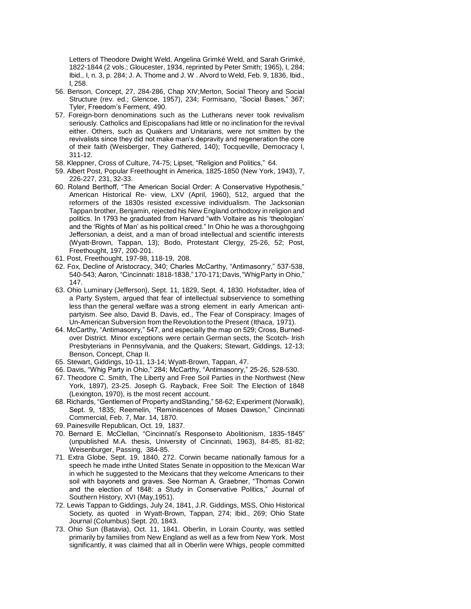Letters of Theodore Dwight Weld, Angelina Grimké Weld, and Sarah Grimké, 1822-1844 (2 vols.; Gloucester, 1934, reprinted by Peter Smith; 1965), I, 284; Ibid., I, n. 3, p. 284; J. A. Thome and J. W . Alvord to Weld, Feb. 9, 1836, Ibid., I, 258.

- 56. Benson, Concept, 27, 284-286, Chap XIV;Merton, Social Theory and Social Structure (rev. ed.; Glencoe, 1957), 234; Formisano, "Social Bases," 367; Tyler, Freedom's Ferment, 490.
- 57. Foreign-born denominations such as the Lutherans never took revivalism seriously. Catholics and Episcopalians had little or no inclination for the revival either. Others, such as Quakers and Unitarians, were not smitten by the revivalists since they did not make man's depravity and regeneration the core of their faith (Weisberger, They Gathered, 140); Tocqueville, Democracy I, 311-12.
- 58. Kleppner, Cross of Culture, 74-75; Lipset, "Religion and Politics," 64.
- 59. Albert Post, Popular Freethought in America, 1825-1850 (New York, 1943), 7, 226-227, 231, 32-33.
- 60. Roland Berthoff, "The American Social Order: A Conservative Hypothesis," American Historical Re- view, LXV (April, 1960), 512, argued that the reformers of the 1830s resisted excessive individualism. The Jacksonian Tappan brother, Benjamin, rejected his New England orthodoxy in religion and politics. In 1793 he graduated from Harvard "with Voltaire as his 'theologian' and the 'Rights of Man' as his political creed." In Ohio he was a thoroughgoing Jeffersonian, a deist, and a man of broad intellectual and scientific interests (Wyatt-Brown, Tappan, 13); Bodo, Protestant Clergy, 25-26, 52; Post, Freethought, 197, 200-201.
- 61. Post, Freethought, 197-98, 118-19, 208.
- 62. Fox, Decline of Aristocracy, 340; Charles McCarthy, "Antimasonry," 537-538, 540-543; Aaron, "Cincinnati: 1818-1838," 170-171;Davis,"WhigParty in Ohio," 147.
- 63. Ohio Luminary (Jefferson), Sept. 11, 1829, Sept. 4, 1830. Hofstadter, Idea of a Party System, argued that fear of intellectual subservience to something less than the general welfare was a strong element in early American antipartyism. See also, David B. Davis, ed., The Fear of Conspiracy: Images of Un-American Subversion from theRevolution tothe Present (Ithaca, 1971).
- 64. McCarthy, "Antimasonry," 547, and especially the map on 529; Cross, Burnedover District. Minor exceptions were certain German sects, the Scotch- Irish Presbyterians in Pennsylvania, and the Quakers; Stewart, Giddings, 12-13; Benson, Concept, Chap II.
- 65. Stewart, Giddings, 10-11, 13-14; Wyatt-Brown, Tappan, 47.
- 66. Davis, "Whig Party in Ohio," 284; McCarthy, "Antimasonry," 25-26, 528-530.
- 67. Theodore C. Smith, The Liberty and Free Soil Parties in the Northwest (New York, 1897), 23-25. Joseph G. Rayback, Free Soil: The Election of 1848 (Lexington, 1970), is the most recent account.
- 68. Richards, "Gentlemen of Property andStanding," 58-62; Experiment (Norwalk), Sept. 9, 1835; Reemelin, "Reminiscences of Moses Dawson," Cincinnati Commercial, Feb. 7, Mar. 14, 1870.
- 69. Painesville Republican, Oct. 19, 1837.
- 70. Bernard E. McClellan, "Cincinnati's Responseto Abolitionism, 1835-1845" (unpublished M.A. thesis, University of Cincinnati, 1963), 84-85, 81-82; Weisenburger, Passing, 384-85.
- 71. Extra Globe, Sept. 19, 1840, 272. Corwin became nationally famous for a speech he made inthe United States Senate in opposition to the Mexican War in which he suggested to the Mexicans that they welcome Americans to their soil with bayonets and graves. See Norman A. Graebner, "Thomas Corwin and the election of 1848: a Study in Conservative Politics," Journal of Southern History, XVI (May,1951).
- 72. Lewis Tappan to Giddings, July 24, 1841, J.R. Giddings, MSS, Ohio Historical Society, as quoted in Wyatt-Brown, Tappan, 274; Ibid., 269; Ohio State Journal (Columbus) Sept. 20, 1843.
- 73. Ohio Sun (Batavia), Oct. 11, 1841. Oberlin, in Lorain County, was settled primarily by families from New England as well as a few from New York. Most significantly, it was claimed that all in Oberlin were Whigs, people committed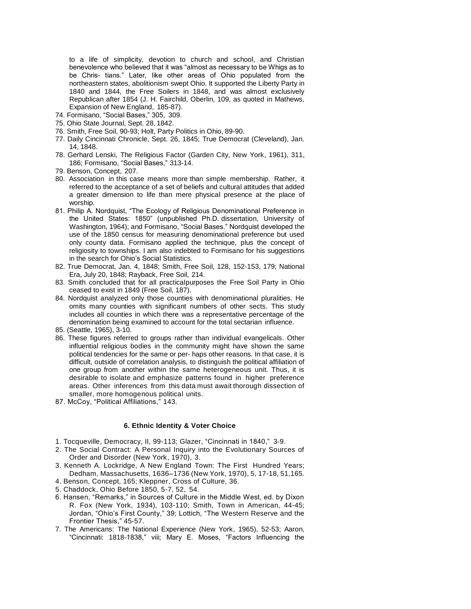to a life of simplicity, devotion to church and school, and Christian benevolence who believed that it was "almost as necessary to be Whigs as to be Chris- tians." Later, like other areas of Ohio populated from the northeastern states, abolitionism swept Ohio. It supported the Liberty Party in 1840 and 1844, the Free Soilers in 1848, and was almost exclusively Republican after 1854 (J. H. Fairchild, Oberlin, 109, as quoted in Mathews, Expansion of New England, 185-87).

- 74. Formisano, "Social Bases," 305, 309.
- 75. Ohio State Journal, Sept. 28, 1842.
- 76. Smith, Free Soil, 90-93; Holt, Party Politics in Ohio, 89-90.
- 77. Daily Cincinnati Chronicle, Sept. 26, 1845; True Democrat (Cleveland), Jan. 14, 1848.
- 78. Gerhard Lenski, The Religious Factor (Garden City, New York, 1961), 311, 186; Formisano, "Social Bases," 313-14.
- 79. Benson, Concept, 207.
- 80. Association in this case means more than simple membership. Rather, it referred to the acceptance of a set of beliefs and cultural attitudes that added a greater dimension to life than mere physical presence at the place of worship.
- 81. Philip A. Nordquist, "The Ecology of Religious Denominational Preference in the United States: 1850" (unpublished Ph.D. dissertation, University of Washington, 1964); and Formisano, "Social Bases." Nordquist developed the use of the 1850 census for measuring denominational preference but used only county data. Formisano applied the technique, plus the concept of religiosity to townships. I am also indebted to Formisano for his suggestions in the search for Ohio's Social Statistics.
- 82. True Democrat, Jan. 4, 1848; Smith, Free Soil, 128, 152-153, 179; National Era, July 20, 1848; Rayback, Free Soil, 214.
- 83. Smith concluded that for all practicalpurposes the Free Soil Party in Ohio ceased to exist in 1849 (Free Soil, 187).
- 84. Nordquist analyzed only those counties with denominational pluralities. He omits many counties with significant numbers of other sects. This study includes all counties in which there was a representative percentage of the denomination being examined to account for the total sectarian influence.
- 85. (Seattle, 1965), 3-10.
- 86. These figures referred to groups rather than individual evangelicals. Other influential religious bodies in the community might have shown the same political tendencies for the same or per- haps other reasons. In that case, it is difficult, outside of correlation analysis, to distinguish the political affiliation of one group from another within the same heterogeneous unit. Thus, it is desirable to isolate and emphasize patterns found in higher preference areas. Other inferences from this data must await thorough dissection of smaller, more homogenous political units.
- 87. McCoy, "Political Affiliations," 143.

#### **6. Ethnic Identity & Voter Choice**

- 1. Tocqueville, Democracy, II, 99-113; Glazer, "Cincinnati in 1840," 3-9.
- 2. The Social Contract: A Personal Inquiry into the Evolutionary Sources of Order and Disorder (New York, 1970), 3.
- 3. Kenneth A. Lockridge, A New England Town: The First Hundred Years; Dedham, Massachusetts, 1636–1736 (New York, 1970), 5, 17-18, 51,165.
- 4. Benson, Concept, 165; Kleppner, Cross of Culture, 36.
- 5. Chaddock, Ohio Before 1850, 5-7, 52, 54.
- 6. Hansen, "Remarks," in Sources of Culture in the Middle West, ed. by Dixon R. Fox (New York, 1934), 103-110; Smith, Town in American, 44-45; Jordan, "Ohio's First County," 39; Lottich, "The Western Reserve and the Frontier Thesis," 45-57.
- 7. The Americans: The National Experience (New York, 1965), 52-53; Aaron, "Cincinnati: 1818-1838," viii; Mary E. Moses, "Factors Influencing the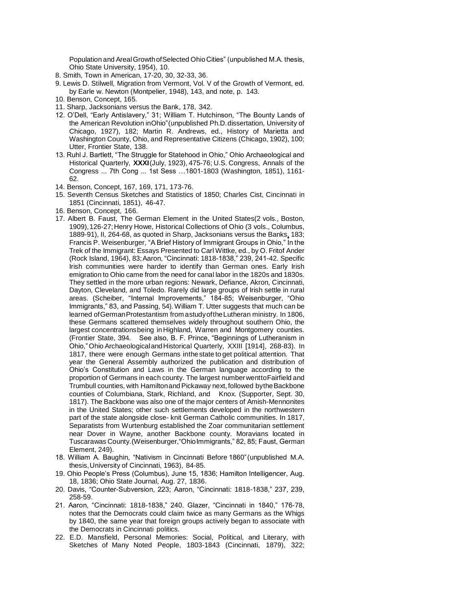Population and ArealGrowthofSelected OhioCities" (unpublished M.A. thesis, Ohio State University, 1954), 10.

- 8. Smith, Town in American, 17-20, 30, 32-33, 36.
- 9. Lewis D. Stilwell, Migration from Vermont, Vol. V of the Growth of Vermont, ed. by Earle w. Newton (Montpelier, 1948), 143, and note, p. 143.
- 10. Benson, Concept, 165.
- 11. Sharp, Jacksonians versus the Bank, 178, 342.
- 12. O'Dell, "Early Antislavery," 31; William T. Hutchinson, "The Bounty Lands of the American Revolution inOhio"(unpublished Ph.D.dissertation, University of Chicago, 1927), 182; Martin R. Andrews, ed., History of Marietta and Washington County, Ohio, and Representative Citizens (Chicago, 1902), 100; Utter, Frontier State, 138.
- 13. Ruhl J. Bartlett, "The Struggle for Statehood in Ohio," Ohio Archaeological and Historical Quarterly, **XXXI**(July, 1923), 475-76; U.S. Congress, Annals of the Congress ... 7th Cong ... 1st Sess …1801-1803 (Washington, 1851), 1161- 62.
- 14. Benson, Concept, 167, 169, 171, 173-76.
- 15. Seventh Census Sketches and Statistics of 1850; Charles Cist, Cincinnati in 1851 (Cincinnati, 1851), 46-47.
- 16. Benson, Concept, 166.
- 17. Albert B. Faust, The German Element in the United States(2 vols., Boston, 1909),126-27;Henry Howe, Historical Collections of Ohio (3 vols., Columbus, 1889-91), II, 264-68, as quoted in Sharp, Jacksonians versus the Banks, 183; Francis P. Weisenburger, "A Brief History of Immigrant Groups in Ohio," In the Trek of the Immigrant: Essays Presented to Carl Wittke, ed., by O. Fritof Ander (Rock Island, 1964), 83;Aaron, "Cincinnati: 1818-1838," 239, 241-42. Specific Irish communities were harder to identify than German ones. Early Irish emigration to Ohio came from the need for canal labor in the 1820s and 1830s. They settled in the more urban regions: Newark, Defiance, Akron, Cincinnati, Dayton, Cleveland, and Toledo. Rarely did large groups of Irish settle in rural areas. (Scheiber, "Internal Improvements," 184-85; Weisenburger, "Ohio Immigrants," 83, and Passing, 54). William T. Utter suggests that much can be learned ofGermanProtestantism from astudyoftheLutheran ministry. In 1806, these Germans scattered themselves widely throughout southern Ohio, the largest concentrationsbeing inHighland, Warren and Montgomery counties. (Frontier State, 394. See also, B. F. Prince, "Beginnings of Lutheranism in Ohio,"Ohio ArchaeologicalandHistorical Quarterly, XXIII [1914], 268-83). In 1817, there were enough Germans inthestate to get political attention. That year the General Assembly authorized the publication and distribution of Ohio's Constitution and Laws in the German language according to the proportion of Germans in each county. The largest number wentto Fairfield and Trumbull counties, with Hamiltonand Pickaway next, followed bytheBackbone counties of Columbiana, Stark, Richland, and Knox. (Supporter, Sept. 30, 1817). The Backbone was also one of the major centers of Amish-Mennonites in the United States; other such settlements developed in the northwestern part of the state alongside close- knit German Catholic communities. In 1817, Separatists from Wurtenburg established the Zoar communitarian settlement near Dover in Wayne, another Backbone county. Moravians located in Tuscarawas County.(Weisenburger,"OhioImmigrants," 82, 85; Faust, German Element, 249).
- 18. William A. Baughin, "Nativism in Cincinnati Before 1860"(unpublished M.A. thesis,University of Cincinnati, 1963), 84-85.
- 19. Ohio People's Press (Columbus), June 15, 1836; Hamilton Intelligencer, Aug. 18, 1836; Ohio State Journal, Aug. 27, 1836.
- 20. Davis, "Counter-Subversion, 223; Aaron, "Cincinnati: 1818-1838," 237, 239, 258-59.
- 21. Aaron, "Cincinnati: 1818-1838," 240. Glazer, "Cincinnati in 1840," 176-78, notes that the Democrats could claim twice as many Germans as the Whigs by 1840, the same year that foreign groups actively began to associate with the Democrats in Cincinnati politics.
- 22. E.D. Mansfield, Personal Memories: Social, Political, and Literary, with Sketches of Many Noted People, 1803-1843 (Cincinnati, 1879), 322;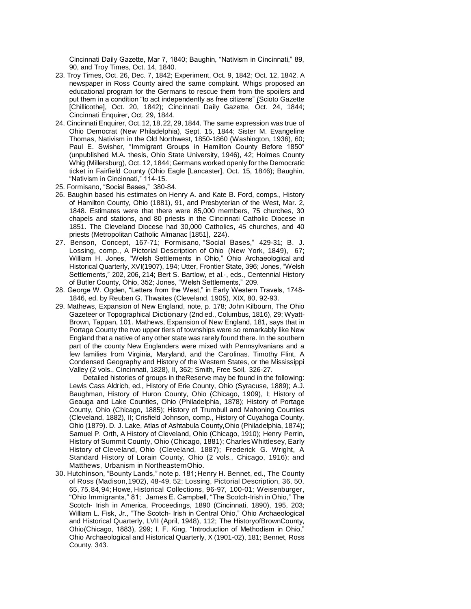Cincinnati Daily Gazette, Mar 7, 1840; Baughin, "Nativism in Cincinnati," 89, 90, and Troy Times, Oct. 14, 1840.

- 23. Troy Times, Oct. 26, Dec. 7, 1842; Experiment, Oct. 9, 1842; Oct. 12, 1842. A newspaper in Ross County aired the same complaint. Whigs proposed an educational program for the Germans to rescue them from the spoilers and put them in a condition "to act independently as free citizens" (Scioto Gazette [Chillicothe], Oct. 20, 1842); Cincinnati Daily Gazette, Oct. 24, 1844; Cincinnati Enquirer, Oct. 29, 1844.
- 24. Cincinnati Enquirer, Oct.12,18,22, 29,1844. The same expression was true of Ohio Democrat (New Philadelphia), Sept. 15, 1844; Sister M. Evangeline Thomas, Nativism in the Old Northwest, 1850-1860 (Washington, 1936), 60; Paul E. Swisher, "Immigrant Groups in Hamilton County Before 1850" (unpublished M.A. thesis, Ohio State University, 1946), 42; Holmes County Whig (Millersburg), Oct. 12, 1844; Germans worked openly for the Democratic ticket in Fairfield County (Ohio Eagle [Lancaster], Oct. 15, 1846); Baughin, "Nativism in Cincinnati," 114-15.
- 25. Formisano, "Social Bases," 380-84.
- 26. Baughin based his estimates on Henry A. and Kate B. Ford, comps., History of Hamilton County, Ohio (1881), 91, and Presbyterian of the West, Mar. 2, 1848. Estimates were that there were 85,000 members, 75 churches, 30 chapels and stations, and 80 priests in the Cincinnati Catholic Diocese in 1851. The Cleveland Diocese had 30,000 Catholics, 45 churches, and 40 priests (Metropolitan Catholic Almanac [1851], 224).
- 27. Benson, Concept, 167-71; Formisano, "Social Bases," 429-31; B. J. Lossing, comp., A Pictorial Description of Ohio (New York, 1849), 67; William H. Jones, "Welsh Settlements in Ohio," Ohio Archaeological and Historical Quarterly, XVI(1907), 194; Utter, Frontier State, 396; Jones, "Welsh Settlements," 202, 206, 214; Bert S. Bartlow, et al.·, eds., Centennial History of Butler County, Ohio, 352; Jones, "Welsh Settlements," 209.
- 28. George W. Ogden, "Letters from the West," in Early Western Travels, 1748- 1846, ed. by Reuben G. Thwaites (Cleveland, 1905), XIX, 80, 92-93.
- 29. Mathews, Expansion of New England, note, p. 178; John Kilbourn, The Ohio Gazeteer or Topographical Dictionary (2nd ed., Columbus, 1816), 29; Wyatt-Brown, Tappan, 101. Mathews, Expansion of New England, 181, says that in Portage County the two upper tiers of townships were so remarkably like New England that a native of any other state was rarely found there. In the southern part of the county New Englanders were mixed with Pennsylvanians and a few families from Virginia, Maryland, and the Carolinas. Timothy Flint, A Condensed Geography and History of the Western States, or the Mississippi Valley (2 vols., Cincinnati, 1828), II, 362; Smith, Free Soil, 326-27.

Detailed histories of groups in theReserve may be found in the following: Lewis Cass Aldrich, ed., History of Erie County, Ohio (Syracuse, 1889); A.J. Baughman, History of Huron County, Ohio (Chicago, 1909), I; History of Geauga and Lake Counties, Ohio (Philadelphia, 1878); History of Portage County, Ohio (Chicago, 1885); History of Trumbull and Mahoning Counties (Cleveland, 1882), II; Crisfield Johnson, comp., History of Cuyahoga County, Ohio (1879). D. J. Lake, Atlas of Ashtabula County,Ohio (Philadelphia, 1874); Samuel P. Orth, A History of Cleveland, Ohio (Chicago, 1910); Henry Perrin, History of Summit County, Ohio (Chicago, 1881); Charles Whittlesey, Early History of Cleveland, Ohio (Cleveland, 1887); Frederick G. Wright, A Standard History of Lorain County, Ohio (2 vols., Chicago, 1916); and Matthews, Urbanism in NortheasternOhio.

30. Hutchinson, "Bounty Lands," note p. 181; Henry H. Bennet, ed., The County of Ross (Madison,1902), 48-49, 52; Lossing, Pictorial Description, 36, 50, 65, 75,84,94; Howe, Historical Collections, 96-97, 100-01; Weisenburger, "Ohio Immigrants," 81; James E. Campbell, "The Scotch-Irish in Ohio," The Scotch- Irish in America, Proceedings, 1890 (Cincinnati, 1890), 195, 203; William L. Fisk, Jr., "The Scotch- Irish in Central Ohio," Ohio Archaeological and Historical Quarterly, LVII (April, 1948), 112; The HistoryofBrownCounty, Ohio(Chicago, 1883), 299; I. F. King, "Introduction of Methodism in Ohio," Ohio Archaeological and Historical Quarterly, X (1901-02), 181; Bennet, Ross County, 343.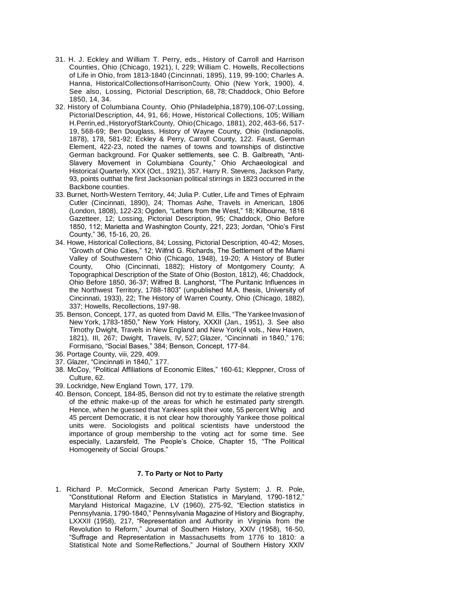- 31. H. J. Eckley and William T. Perry, eds., History of Carroll and Harrison Counties, Ohio (Chicago, 1921), I, 229; William C. Howells, Recollections of Life in Ohio, from 1813-1840 (Cincinnati, 1895), 119, 99-100; Charles A. Hanna, HistoricalCollectionsofHarrisonCounty, Ohio (New York, 1900), 4. See also, Lossing, Pictorial Description, 68, 78; Chaddock, Ohio Before 1850, 14, 34.
- 32. History of Columbiana County, Ohio (Philadelphia,1879),106-07;Lossing, PictorialDescription, 44, 91, 66; Howe, Historical Collections, 105; William H.Perrin,ed.,HistoryofStarkCounty, Ohio(Chicago, 1881), 202, 463-66, 517- 19, 568-69; Ben Douglass, History of Wayne County, Ohio (Indianapolis, 1878), 178, 581-92; Eckley & Perry, Carroll County, 122. Faust, German Element, 422-23, noted the names of towns and townships of distinctive German background. For Quaker settlements, see C. B. Galbreath, "Anti-Slavery Movement in Columbiana County," Ohio Archaeological and Historical Quarterly, XXX (Oct., 1921), 357. Harry R. Stevens, Jackson Party, 93, points outthat the first Jacksonian political stirrings in 1823 occurred in the Backbone counties.
- 33. Burnet, North-Western Territory, 44; Julia P. Cutler, Life and Times of Ephraim Cutler (Cincinnati, 1890), 24; Thomas Ashe, Travels in American, 1806 (London, 1808), 122-23; Ogden, "Letters from the West," 18; Kilbourne, 1816 Gazetteer, 12; Lossing, Pictorial Description, 95; Chaddock, Ohio Before 1850, 112; Marietta and Washington County, 221, 223; Jordan, "Ohio's First County," 36, 15-16, 20, 26.
- 34. Howe, Historical Collections, 84; Lossing, Pictorial Description, 40-42; Moses, "Growth of Ohio Cities," 12; Wilfrid G. Richards, The Settlement of the Miami Valley of Southwestern Ohio (Chicago, 1948), 19-20; A History of Butler County, Ohio (Cincinnati, 1882); History of Montgomery County; A Topographical Description of the State of Ohio (Boston, 1812), 46; Chaddock, Ohio Before 1850, 36-37; Wilfred B. Langhorst, "The Puritanic Influences in the Northwest Territory, 1788-1803" (unpublished M.A. thesis, University of Cincinnati, 1933), 22; The History of Warren County, Ohio (Chicago, 1882), 337; Howells, Recollections, 197-98.
- 35. Benson, Concept, 177, as quoted from David M. Ellis, "The Yankee Invasion of New York, 1783-1850," New York History, XXXII (Jan., 1951), 3. See also Timothy Dwight, Travels in New England and New York(4 vols., New Haven, 1821), III, 267; Dwight, Travels, IV, 527; Glazer, "Cincinnati in 1840," 176; Formisano, "Social Bases," 384; Benson, Concept, 177-84.
- 36. Portage County, viii, 229, 409.
- 37. Glazer, "Cincinnati in 1840," 177.
- 38. McCoy, "Political Affiliations of Economic Elites," 160-61; Kleppner, Cross of Culture, 62.
- 39. Lockridge, New England Town, 177, 179.
- 40. Benson, Concept, 184-85, Benson did not try to estimate the relative strength of the ethnic make-up of the areas for which he estimated party strength. Hence, when he guessed that Yankees split their vote, 55 percent Whig and 45 percent Democratic, it is not clear how thoroughly Yankee those political units were. Sociologists and political scientists have understood the importance of group membership to the voting act for some time. See especially, Lazarsfeld, The People's Choice, Chapter 15, "The Political Homogeneity of Social Groups."

# **7. To Party or Not to Party**

1. Richard P. McCormick, Second American Party System; J. R. Pole, "Constitutional Reform and Election Statistics in Maryland, 1790-1812," Maryland Historical Magazine, LV (1960), 275-92, "Election statistics in Pennsylvania, 1790-1840," Pennsylvania Magazine of History and Biography, LXXXII (1958), 217, "Representation and Authority in Virginia from the Revolution to Reform," Journal of Southern History, XXIV (1958), 16-50, "Suffrage and Representation in Massachusetts from 1776 to 1810: a Statistical Note and SomeReflections," Journal of Southern History XXIV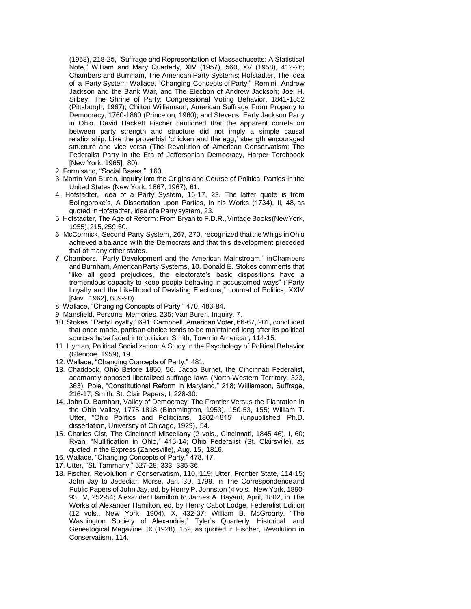(1958), 218-25, "Suffrage and Representation of Massachusetts: A Statistical Note," William and Mary Quarterly, XIV (1957), 560, XV (1958), 412-26; Chambers and Burnham, The American Party Systems; Hofstadter, The Idea of a Party System; Wallace, "Changing Concepts of Party;" Remini, Andrew Jackson and the Bank War, and The Election of Andrew Jackson; Joel H. Silbey, The Shrine of Party: Congressional Voting Behavior, 1841-1852 (Pittsburgh, 1967); Chilton Williamson, American Suffrage From Property to Democracy, 1760-1860 (Princeton, 1960); and Stevens, Early Jackson Party in Ohio. David Hackett Fischer cautioned that the apparent correlation between party strength and structure did not imply a simple causal relationship. Like the proverbial 'chicken and the egg,' strength encouraged structure and vice versa (The Revolution of American Conservatism: The Federalist Party in the Era of Jeffersonian Democracy, Harper Torchbook [New York, 1965], 80).

- 2. Formisano, "Social Bases," 160.
- 3. Martin Van Buren, Inquiry into the Origins and Course of Political Parties in the United States (New York, 1867, 1967), 61.
- 4. Hofstadter, Idea of a Party System, 16-17, 23. The latter quote is from Bolingbroke's, A Dissertation upon Parties, in his Works (1734), II, 48, as quoted in Hofstadter, Idea of a Party system, 23.
- 5. Hofstadter, The Age of Reform: From Bryan to F.D.R.,Vintage Books(NewYork, 1955), 215,259-60.
- 6. McCormick, Second Party System, 267, 270, recognized thattheWhigs inOhio achieved a balance with the Democrats and that this development preceded that of many other states.
- 7. Chambers, "Party Development and the American Mainstream," inChambers and Burnham,AmericanParty Systems, 10. Donald E. Stokes comments that "like all good prejudices, the electorate's basic dispositions have a tremendous capacity to keep people behaving in accustomed ways" ("Party Loyalty and the Likelihood of Deviating Elections," Journal of Politics, XXIV [Nov., 1962], 689-90).
- 8. Wallace, "Changing Concepts of Party," 470, 483-84.
- 9. Mansfield, Personal Memories, 235; Van Buren, Inquiry, 7.
- 10. Stokes, "Party Loyalty," 691; Campbell, American Voter, 66-67, 201, concluded that once made, partisan choice tends to be maintained long after its political sources have faded into oblivion; Smith, Town in American, 114-15.
- 11. Hyman, Political Socialization: A Study in the Psychology of Political Behavior (Glencoe, 1959), 19.
- 12. Wallace, "Changing Concepts of Party," 481.
- 13. Chaddock, Ohio Before 1850, 56. Jacob Burnet, the Cincinnati Federalist, adamantly opposed liberalized suffrage laws (North-Western Territory, 323, 363); Pole, "Constitutional Reform in Maryland," 218; Williamson, Suffrage, 216-17; Smith, St. Clair Papers, I, 228-30.
- 14. John D. Barnhart, Valley of Democracy: The Frontier Versus the Plantation in the Ohio Valley, 1775-1818 (Bloomington, 1953), 150-53, 155; William T. Utter, "Ohio Politics and Politicians, 1802-1815" (unpublished Ph.D. dissertation, University of Chicago, 1929), 54.
- 15. Charles Cist, The Cincinnati Miscellany (2 vols., Cincinnati, 1845-46), I, 60; Ryan, "Nullification in Ohio," 413-14; Ohio Federalist (St. Clairsville), as quoted in the Express (Zanesville), Aug. 15, 1816.
- 16. Wallace, "Changing Concepts of Party," 478. 17.
- 17. Utter, "St. Tammany," 327-28, 333, 335-36.
- 18. Fischer, Revolution in Conservatism, 110, 119; Utter, Frontier State, 114-15; John Jay to Jedediah Morse, Jan. 30, 1799, in The Correspondenceand Public Papers of John Jay, ed. by Henry P. Johnston (4 vols., New York, 1890- 93, IV, 252-54; Alexander Hamilton to James A. Bayard, April, 1802, in The Works of Alexander Hamilton, ed. by Henry Cabot Lodge, Federalist Edition (12 vols., New York, 1904), X, 432-37; William B. McGroarty, "The Washington Society of Alexandria," Tyler's Quarterly Historical and Genealogical Magazine, IX (1928), 152, as quoted in Fischer, Revolution **in** Conservatism, 114.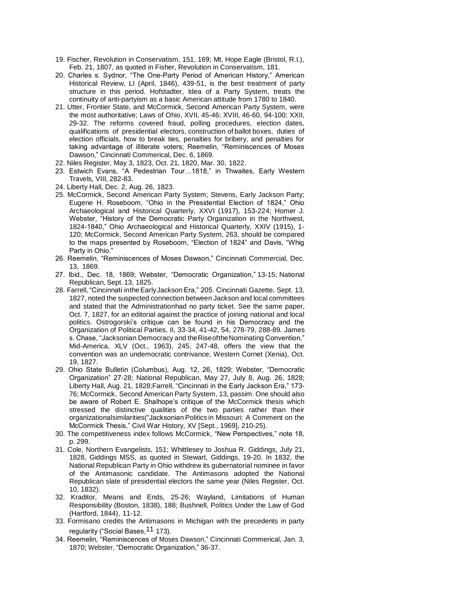- 19. Fischer, Revolution in Conservatism, 151, 169; Mt. Hope Eagle (Bristol, R.I.), Feb. 21, 1807, as quoted in Fisher, Revolution in Conservatism, 181.
- 20. Charles s. Sydnor, "The One-Party Period of American History," American Historical Review, LI (April, 1846), 439-51, is the best treatment of party structure in this period. Hofstadter, Idea of a Party System, treats the continuity of anti-partyism as a basic American attitude from 1780 to 1840.
- 21. Utter, Frontier State, and McCormick, Second American Party System, were the most authoritative; Laws of Ohio, XVII, 45-46; XVIII, 46-60, 94-100; XXII, 29-32. The reforms covered fraud, polling procedures, election dates, qualifications of presidential electors, construction of ballot boxes, duties of election officials, how to break ties, penalties for bribery, and penalties for taking advantage of illiterate voters; Reemelin, "Reminiscences of Moses Dawson," Cincinnati Commerical, Dec. 6, 1869.
- 22. Niles Register, May 3, 1823, Oct. 21, 1820, Mar. 30, 1822.
- 23. Estwich Evans, "A Pedestrian Tour…1818," in Thwaites, Early Western Travels, VIII, 282-83.
- 24. Liberty Hall, Dec. 2, Aug. 26, 1823.
- 25. McCormick, Second American Party System; Stevens, Early Jackson Party; Eugene H. Roseboom, "Ohio in the Presidential Election of 1824," Ohio Archaeological and Historical Quarterly, XXVI (1917), 153-224; Homer J. Webster, "History of the Democratic Party Organization in the Northwest, 1824-1840," Ohio Archaeological and Historical Quarterly, XXIV (1915), 1- 120; McCormick, Second American Party System, 263, should be compared to the maps presented by Roseboom, "Election of 1824" and Davis, "Whig Party in Ohio."
- 26. Reemelin, "Reminiscences of Moses Dawson," Cincinnati Commercial, Dec. 13, 1869.
- 27. Ibid., Dec. 18, 1869; Webster, "Democratic Organization," 13-15; National Republican, Sept. 13, 1825.
- 28. Farrell,"Cincinnati intheEarlyJackson Era," 205. Cincinnati Gazette, Sept. 13, 1827, noted the suspected connection between Jackson and local committees and stated that the Administrationhad no party ticket. See the same paper, Oct. 7, 1827, for an editorial against the practice of joining national and local politics. Ostrogorski's critique can be found in his Democracy and the Organization of Political Parties, II, 33-34, 41-42, 54, 278-79, 288-89. James s. Chase, "Jacksonian Democracy and theRiseoftheNominating Convention," Mid-America, XLV (Oct., 1963), 245, 247-48, offers the view that the convention was an undemocratic contrivance; Western Cornet (Xenia), Oct. 19, 1827.
- 29. Ohio State Bulletin (Columbus), Aug. 12, 26, 1829; Webster, "Democratic Organization" 27-28; National Republican, May 27, July 8, Aug. 26, 1828; Liberty Hall, Aug. 21, 1828;Farrell, "Cincinnati in the Early Jackson Era," 173- 76; McCormick, Second American Party System, 13, passim. One should also be aware of Robert E. Shalhope's critique of the McCormick thesis which stressed the distinctive qualities of the two parties rather than their organizationalsimilarities("Jacksonian Politics in Missouri: A Comment on the McCormick Thesis," Civil War History, XV [Sept., 1969], 210-25).
- 30. The competitiveness index follows McCormick, "New Perspectives," note 18, p. 299.
- 31. Cole, Northern Evangelists, 151; Whittlesey to Joshua R. Giddings, July 21, 1828, Giddings MSS, as quoted in Stewart, Giddings, 19-20. In 1832, the National Republican Party in Ohio withdrew its gubernatorial nominee in favor of the Antimasonic candidate. The Antimasons adopted the National Republican slate of presidential electors the same year (Niles Register, Oct. 10, 1832).
- 32. Kraditor, Means and Ends, 25-26; Wayland, Limitations of Human Responsibility (Boston, 1838), 188; Bushnell, Politics Under the Law of God (Hartford, 1844), 11-12.
- 33. Formisano credits the Antimasons in Michigan with the precedents in party regularity ("Social Bases, <sup>11</sup> 173).
- 34. Reemelin, "Reminiscences of Moses Dawson," Cincinnati Commerical, Jan. 3, 1870; Webster, "Democratic Organization," 36-37.